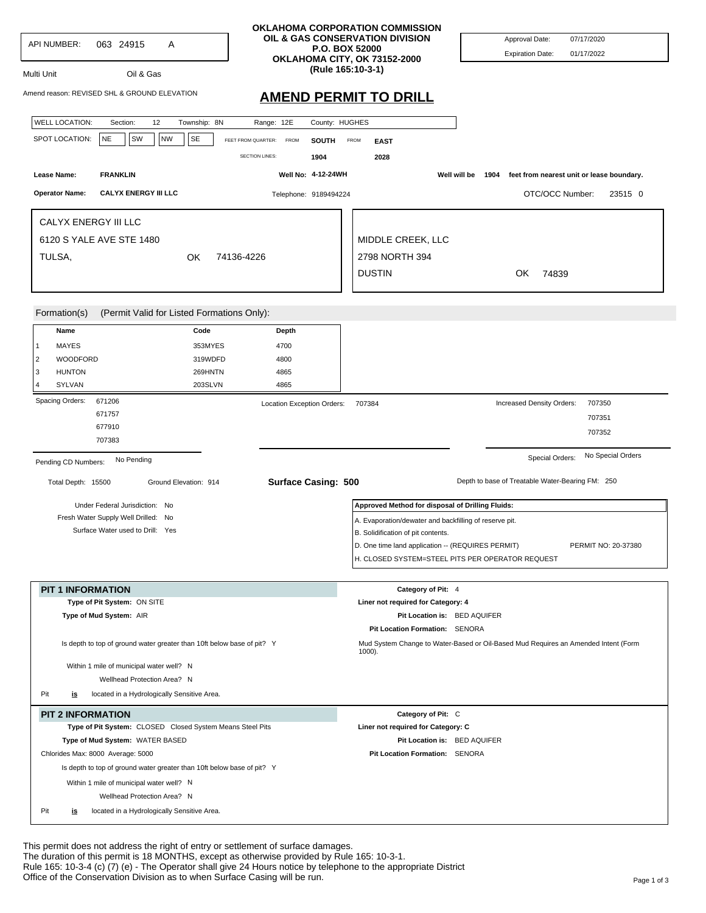| API NUMBER:<br>063 24915<br>A<br>Oil & Gas<br>Multi Unit<br>Amend reason: REVISED SHL & GROUND ELEVATION                                                                                                                                                                                                                                                                       |                                                                              | OKLAHOMA CORPORATION COMMISSION<br>OIL & GAS CONSERVATION DIVISION<br><b>P.O. BOX 52000</b><br>OKLAHOMA CITY, OK 73152-2000<br>(Rule 165:10-3-1)<br><b>AMEND PERMIT TO DRILL</b>                      | Approval Date:<br>07/17/2020<br><b>Expiration Date:</b><br>01/17/2022                           |
|--------------------------------------------------------------------------------------------------------------------------------------------------------------------------------------------------------------------------------------------------------------------------------------------------------------------------------------------------------------------------------|------------------------------------------------------------------------------|-------------------------------------------------------------------------------------------------------------------------------------------------------------------------------------------------------|-------------------------------------------------------------------------------------------------|
| <b>WELL LOCATION:</b><br>12<br>Township: 8N<br>Section:<br><b>NE</b><br>SW<br><b>NW</b><br>SE<br>SPOT LOCATION:                                                                                                                                                                                                                                                                | County: HUGHES<br>Range: 12E<br>FEET FROM QUARTER: FROM<br><b>SOUTH</b>      | <b>FROM</b><br><b>EAST</b>                                                                                                                                                                            |                                                                                                 |
| Lease Name:<br><b>FRANKLIN</b><br><b>Operator Name:</b><br><b>CALYX ENERGY III LLC</b>                                                                                                                                                                                                                                                                                         | <b>SECTION LINES:</b><br>1904<br>Well No: 4-12-24WH<br>Telephone: 9189494224 | 2028                                                                                                                                                                                                  | Well will be<br>feet from nearest unit or lease boundary.<br>1904<br>OTC/OCC Number:<br>23515 0 |
| CALYX ENERGY III LLC<br>6120 S YALE AVE STE 1480<br>TULSA,<br>OK                                                                                                                                                                                                                                                                                                               | 74136-4226                                                                   | MIDDLE CREEK, LLC<br>2798 NORTH 394<br><b>DUSTIN</b>                                                                                                                                                  | OK<br>74839                                                                                     |
| (Permit Valid for Listed Formations Only):<br>Formation(s)<br>Name<br>Code<br><b>MAYES</b><br>353MYES<br>1<br>WOODFORD<br>319WDFD<br>2<br>3<br><b>HUNTON</b><br>269HNTN<br>SYLVAN<br>203SLVN<br>$\Delta$                                                                                                                                                                       | Depth<br>4700<br>4800<br>4865<br>4865                                        |                                                                                                                                                                                                       |                                                                                                 |
| Spacing Orders:<br>671206<br>671757<br>677910<br>707383                                                                                                                                                                                                                                                                                                                        | Location Exception Orders:                                                   | 707384                                                                                                                                                                                                | 707350<br>Increased Density Orders:<br>707351<br>707352                                         |
| No Pending<br>Pending CD Numbers:<br>Total Depth: 15500<br>Ground Elevation: 914                                                                                                                                                                                                                                                                                               | <b>Surface Casing: 500</b>                                                   |                                                                                                                                                                                                       | No Special Orders<br>Special Orders:<br>Depth to base of Treatable Water-Bearing FM: 250        |
| Under Federal Jurisdiction: No<br>Fresh Water Supply Well Drilled: No<br>Surface Water used to Drill: Yes                                                                                                                                                                                                                                                                      |                                                                              | Approved Method for disposal of Drilling Fluids:<br>A. Evaporation/dewater and backfilling of reserve pit.<br>B. Solidification of pit contents.<br>D. One time land application -- (REQUIRES PERMIT) | PERMIT NO: 20-37380<br>H. CLOSED SYSTEM=STEEL PITS PER OPERATOR REQUEST                         |
| <b>PIT 1 INFORMATION</b><br>Type of Pit System: ON SITE<br>Type of Mud System: AIR<br>Is depth to top of ground water greater than 10ft below base of pit? Y                                                                                                                                                                                                                   |                                                                              | Category of Pit: 4<br>Liner not required for Category: 4<br>Pit Location is: BED AQUIFER<br>Pit Location Formation: SENORA                                                                            | Mud System Change to Water-Based or Oil-Based Mud Requires an Amended Intent (Form              |
| Within 1 mile of municipal water well? N<br>Wellhead Protection Area? N<br>Pit<br>located in a Hydrologically Sensitive Area.<br><u>is</u>                                                                                                                                                                                                                                     |                                                                              | $1000$ ).                                                                                                                                                                                             |                                                                                                 |
| <b>PIT 2 INFORMATION</b><br>Type of Pit System: CLOSED Closed System Means Steel Pits<br>Type of Mud System: WATER BASED<br>Chlorides Max: 8000 Average: 5000<br>Is depth to top of ground water greater than 10ft below base of pit? Y<br>Within 1 mile of municipal water well? N<br>Wellhead Protection Area? N<br>Pit<br>located in a Hydrologically Sensitive Area.<br>is |                                                                              | Category of Pit: C<br>Liner not required for Category: C<br>Pit Location is: BED AQUIFER<br>Pit Location Formation: SENORA                                                                            |                                                                                                 |

This permit does not address the right of entry or settlement of surface damages. The duration of this permit is 18 MONTHS, except as otherwise provided by Rule 165: 10-3-1. Rule 165: 10-3-4 (c) (7) (e) - The Operator shall give 24 Hours notice by telephone to the appropriate District Office of the Conservation Division as to when Surface Casing will be run.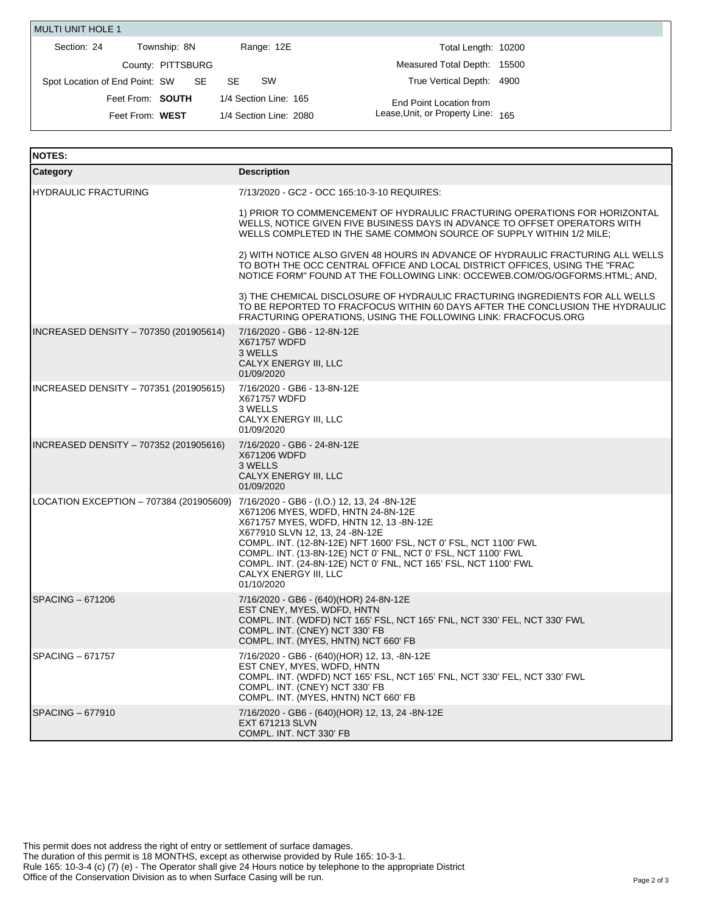| <b>MULTI UNIT HOLE 1</b>       |                   |                        |                                    |  |
|--------------------------------|-------------------|------------------------|------------------------------------|--|
| Section: 24                    | Township: 8N      | Range: 12E             | Total Length: 10200                |  |
|                                | County: PITTSBURG |                        | Measured Total Depth: 15500        |  |
| Spot Location of End Point: SW | SE SE             | <b>SW</b><br>SE.       | True Vertical Depth: 4900          |  |
|                                | Feet From: SOUTH  | 1/4 Section Line: 165  | End Point Location from            |  |
|                                | Feet From: WEST   | 1/4 Section Line: 2080 | Lease, Unit, or Property Line: 165 |  |

| <b>NOTES:</b>                                                                       |                                                                                                                                                                                                                                                                                                                                                                 |
|-------------------------------------------------------------------------------------|-----------------------------------------------------------------------------------------------------------------------------------------------------------------------------------------------------------------------------------------------------------------------------------------------------------------------------------------------------------------|
| Category                                                                            | <b>Description</b>                                                                                                                                                                                                                                                                                                                                              |
| <b>HYDRAULIC FRACTURING</b>                                                         | 7/13/2020 - GC2 - OCC 165:10-3-10 REQUIRES:                                                                                                                                                                                                                                                                                                                     |
|                                                                                     | 1) PRIOR TO COMMENCEMENT OF HYDRAULIC FRACTURING OPERATIONS FOR HORIZONTAL<br>WELLS, NOTICE GIVEN FIVE BUSINESS DAYS IN ADVANCE TO OFFSET OPERATORS WITH<br>WELLS COMPLETED IN THE SAME COMMON SOURCE OF SUPPLY WITHIN 1/2 MILE;                                                                                                                                |
|                                                                                     | 2) WITH NOTICE ALSO GIVEN 48 HOURS IN ADVANCE OF HYDRAULIC FRACTURING ALL WELLS<br>TO BOTH THE OCC CENTRAL OFFICE AND LOCAL DISTRICT OFFICES, USING THE "FRAC<br>NOTICE FORM" FOUND AT THE FOLLOWING LINK: OCCEWEB.COM/OG/OGFORMS.HTML; AND,                                                                                                                    |
|                                                                                     | 3) THE CHEMICAL DISCLOSURE OF HYDRAULIC FRACTURING INGREDIENTS FOR ALL WELLS<br>TO BE REPORTED TO FRACFOCUS WITHIN 60 DAYS AFTER THE CONCLUSION THE HYDRAULIC<br>FRACTURING OPERATIONS, USING THE FOLLOWING LINK: FRACFOCUS.ORG                                                                                                                                 |
| INCREASED DENSITY - 707350 (201905614)                                              | 7/16/2020 - GB6 - 12-8N-12E<br>X671757 WDFD<br>3 WELLS<br>CALYX ENERGY III, LLC<br>01/09/2020                                                                                                                                                                                                                                                                   |
| INCREASED DENSITY - 707351 (201905615)                                              | 7/16/2020 - GB6 - 13-8N-12E<br>X671757 WDFD<br>3 WELLS<br>CALYX ENERGY III, LLC<br>01/09/2020                                                                                                                                                                                                                                                                   |
| INCREASED DENSITY - 707352 (201905616)                                              | 7/16/2020 - GB6 - 24-8N-12E<br>X671206 WDFD<br>3 WELLS<br>CALYX ENERGY III, LLC<br>01/09/2020                                                                                                                                                                                                                                                                   |
| LOCATION EXCEPTION – 707384 (201905609) 7/16/2020 - GB6 - (I.O.) 12, 13, 24 -8N-12E | X671206 MYES, WDFD, HNTN 24-8N-12E<br>X671757 MYES, WDFD, HNTN 12, 13 -8N-12E<br>X677910 SLVN 12, 13, 24 -8N-12E<br>COMPL. INT. (12-8N-12E) NFT 1600' FSL, NCT 0' FSL, NCT 1100' FWL<br>COMPL. INT. (13-8N-12E) NCT 0' FNL, NCT 0' FSL, NCT 1100' FWL<br>COMPL. INT. (24-8N-12E) NCT 0' FNL, NCT 165' FSL, NCT 1100' FWL<br>CALYX ENERGY III, LLC<br>01/10/2020 |
| SPACING – 671206                                                                    | 7/16/2020 - GB6 - (640)(HOR) 24-8N-12E<br>EST CNEY, MYES, WDFD, HNTN<br>COMPL. INT. (WDFD) NCT 165' FSL, NCT 165' FNL, NCT 330' FEL, NCT 330' FWL<br>COMPL. INT. (CNEY) NCT 330' FB<br>COMPL. INT. (MYES, HNTN) NCT 660' FB                                                                                                                                     |
| SPACING - 671757                                                                    | 7/16/2020 - GB6 - (640)(HOR) 12, 13, -8N-12E<br>EST CNEY, MYES, WDFD, HNTN<br>COMPL. INT. (WDFD) NCT 165' FSL, NCT 165' FNL, NCT 330' FEL, NCT 330' FWL<br>COMPL. INT. (CNEY) NCT 330' FB<br>COMPL. INT. (MYES, HNTN) NCT 660' FB                                                                                                                               |
| SPACING - 677910                                                                    | 7/16/2020 - GB6 - (640)(HOR) 12, 13, 24 -8N-12E<br><b>EXT 671213 SLVN</b><br>COMPL. INT. NCT 330' FB                                                                                                                                                                                                                                                            |

This permit does not address the right of entry or settlement of surface damages. The duration of this permit is 18 MONTHS, except as otherwise provided by Rule 165: 10-3-1. Rule 165: 10-3-4 (c) (7) (e) - The Operator shall give 24 Hours notice by telephone to the appropriate District Office of the Conservation Division as to when Surface Casing will be run.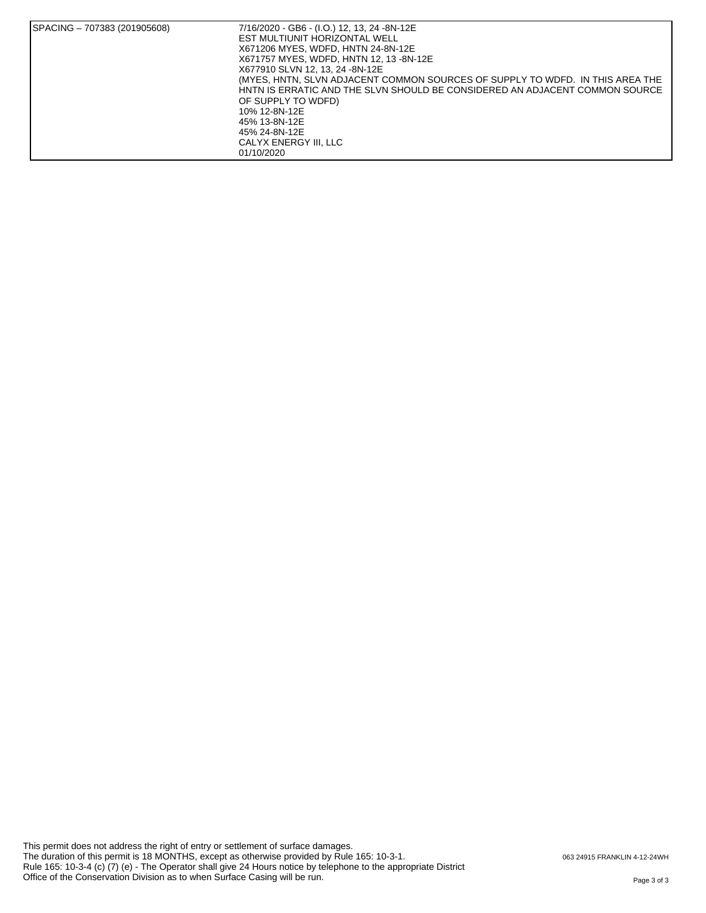| SPACING - 707383 (201905608) | 7/16/2020 - GB6 - (I.O.) 12, 13, 24 -8N-12E<br>EST MULTIUNIT HORIZONTAL WELL<br>X671206 MYES, WDFD, HNTN 24-8N-12E<br>X671757 MYES, WDFD, HNTN 12, 13 -8N-12E<br>X677910 SLVN 12, 13, 24 -8N-12E<br>(MYES, HNTN, SLVN ADJACENT COMMON SOURCES OF SUPPLY TO WDFD. IN THIS AREA THE<br>HNTN IS ERRATIC AND THE SLVN SHOULD BE CONSIDERED AN ADJACENT COMMON SOURCE<br>OF SUPPLY TO WDFD)<br>10% 12-8N-12E<br>45% 13-8N-12E<br>45% 24-8N-12E<br>CALYX ENERGY III. LLC<br>01/10/2020 |
|------------------------------|----------------------------------------------------------------------------------------------------------------------------------------------------------------------------------------------------------------------------------------------------------------------------------------------------------------------------------------------------------------------------------------------------------------------------------------------------------------------------------|
|------------------------------|----------------------------------------------------------------------------------------------------------------------------------------------------------------------------------------------------------------------------------------------------------------------------------------------------------------------------------------------------------------------------------------------------------------------------------------------------------------------------------|